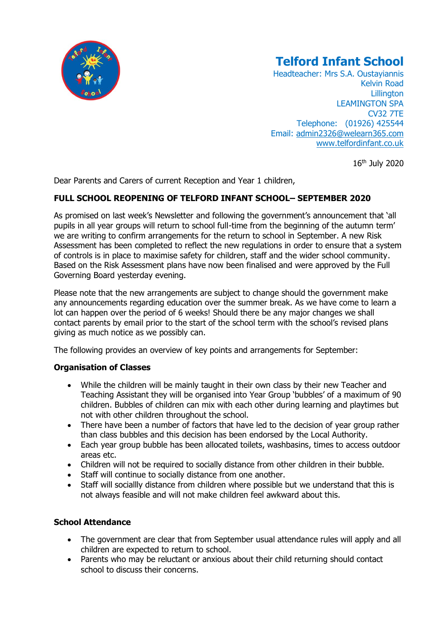

# **Telford Infant School**

Headteacher: Mrs S.A. Oustayiannis Kelvin Road **Lillington** LEAMINGTON SPA CV32 7TE Telephone: (01926) 425544 Email: [admin2326@welearn365.com](mailto:admin2326@welearn365.com) [www.telfordinfant.co.uk](http://www.telfordinfant.co.uk/)

16th July 2020

Dear Parents and Carers of current Reception and Year 1 children,

# **FULL SCHOOL REOPENING OF TELFORD INFANT SCHOOL– SEPTEMBER 2020**

As promised on last week's Newsletter and following the government's announcement that 'all pupils in all year groups will return to school full-time from the beginning of the autumn term' we are writing to confirm arrangements for the return to school in September. A new Risk Assessment has been completed to reflect the new regulations in order to ensure that a system of controls is in place to maximise safety for children, staff and the wider school community. Based on the Risk Assessment plans have now been finalised and were approved by the Full Governing Board yesterday evening.

Please note that the new arrangements are subject to change should the government make any announcements regarding education over the summer break. As we have come to learn a lot can happen over the period of 6 weeks! Should there be any major changes we shall contact parents by email prior to the start of the school term with the school's revised plans giving as much notice as we possibly can.

The following provides an overview of key points and arrangements for September:

## **Organisation of Classes**

- While the children will be mainly taught in their own class by their new Teacher and Teaching Assistant they will be organised into Year Group 'bubbles' of a maximum of 90 children. Bubbles of children can mix with each other during learning and playtimes but not with other children throughout the school.
- There have been a number of factors that have led to the decision of year group rather than class bubbles and this decision has been endorsed by the Local Authority.
- Each year group bubble has been allocated toilets, washbasins, times to access outdoor areas etc.
- Children will not be required to socially distance from other children in their bubble.
- Staff will continue to socially distance from one another.
- Staff will sociallly distance from children where possible but we understand that this is not always feasible and will not make children feel awkward about this.

## **School Attendance**

- The government are clear that from September usual attendance rules will apply and all children are expected to return to school.
- Parents who may be reluctant or anxious about their child returning should contact school to discuss their concerns.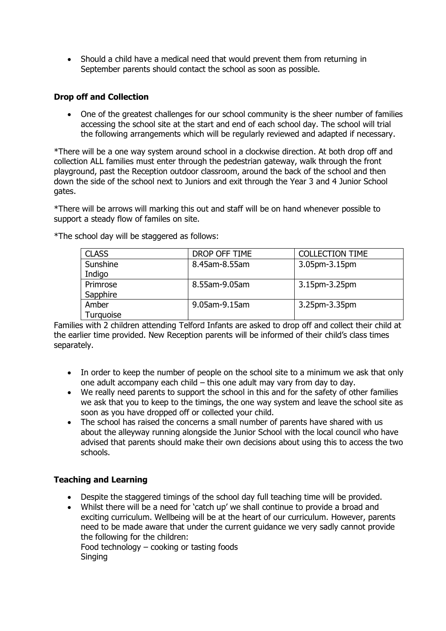• Should a child have a medical need that would prevent them from returning in September parents should contact the school as soon as possible.

#### **Drop off and Collection**

• One of the greatest challenges for our school community is the sheer number of families accessing the school site at the start and end of each school day. The school will trial the following arrangements which will be regularly reviewed and adapted if necessary.

\*There will be a one way system around school in a clockwise direction. At both drop off and collection ALL families must enter through the pedestrian gateway, walk through the front playground, past the Reception outdoor classroom, around the back of the school and then down the side of the school next to Juniors and exit through the Year 3 and 4 Junior School gates.

\*There will be arrows will marking this out and staff will be on hand whenever possible to support a steady flow of familes on site.

| <b>CLASS</b> | DROP OFF TIME | <b>COLLECTION TIME</b> |
|--------------|---------------|------------------------|
| Sunshine     | 8.45am-8.55am | 3.05pm-3.15pm          |
| Indigo       |               |                        |
| Primrose     | 8.55am-9.05am | 3.15pm-3.25pm          |
| Sapphire     |               |                        |
| Amber        | 9.05am-9.15am | 3.25pm-3.35pm          |
| Turquoise    |               |                        |

\*The school day will be staggered as follows:

Families with 2 children attending Telford Infants are asked to drop off and collect their child at the earlier time provided. New Reception parents will be informed of their child's class times separately.

- In order to keep the number of people on the school site to a minimum we ask that only one adult accompany each child – this one adult may vary from day to day.
- We really need parents to support the school in this and for the safety of other families we ask that you to keep to the timings, the one way system and leave the school site as soon as you have dropped off or collected your child.
- The school has raised the concerns a small number of parents have shared with us about the alleyway running alongside the Junior School with the local council who have advised that parents should make their own decisions about using this to access the two schools.

## **Teaching and Learning**

- Despite the staggered timings of the school day full teaching time will be provided.
- Whilst there will be a need for 'catch up' we shall continue to provide a broad and exciting curriculum. Wellbeing will be at the heart of our curriculum. However, parents need to be made aware that under the current guidance we very sadly cannot provide the following for the children:

Food technology – cooking or tasting foods Singing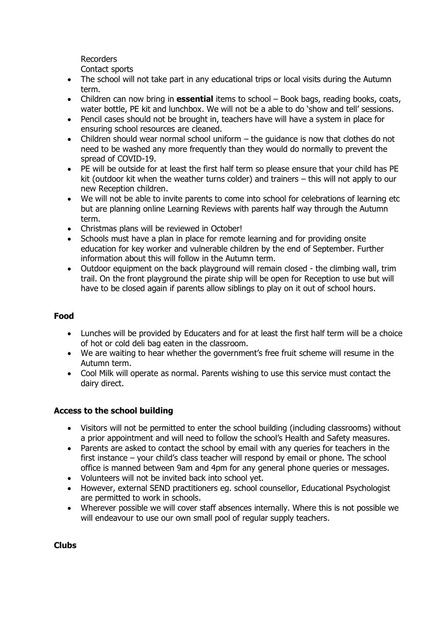Recorders

Contact sports

- The school will not take part in any educational trips or local visits during the Autumn term.
- Children can now bring in **essential** items to school Book bags, reading books, coats, water bottle, PE kit and lunchbox. We will not be a able to do 'show and tell' sessions.
- Pencil cases should not be brought in, teachers have will have a system in place for ensuring school resources are cleaned.
- Children should wear normal school uniform the guidance is now that clothes do not need to be washed any more frequently than they would do normally to prevent the spread of COVID-19.
- PE will be outside for at least the first half term so please ensure that your child has PE kit (outdoor kit when the weather turns colder) and trainers – this will not apply to our new Reception children.
- We will not be able to invite parents to come into school for celebrations of learning etc but are planning online Learning Reviews with parents half way through the Autumn term.
- Christmas plans will be reviewed in October!
- Schools must have a plan in place for remote learning and for providing onsite education for key worker and vulnerable children by the end of September. Further information about this will follow in the Autumn term.
- Outdoor equipment on the back playground will remain closed the climbing wall, trim trail. On the front playground the pirate ship will be open for Reception to use but will have to be closed again if parents allow siblings to play on it out of school hours.

# **Food**

- Lunches will be provided by Educaters and for at least the first half term will be a choice of hot or cold deli bag eaten in the classroom.
- We are waiting to hear whether the government's free fruit scheme will resume in the Autumn term.
- Cool Milk will operate as normal. Parents wishing to use this service must contact the dairy direct.

## **Access to the school building**

- Visitors will not be permitted to enter the school building (including classrooms) without a prior appointment and will need to follow the school's Health and Safety measures.
- Parents are asked to contact the school by email with any queries for teachers in the first instance – your child's class teacher will respond by email or phone. The school office is manned between 9am and 4pm for any general phone queries or messages.
- Volunteers will not be invited back into school yet.
- However, external SEND practitioners eg. school counsellor, Educational Psychologist are permitted to work in schools.
- Wherever possible we will cover staff absences internally. Where this is not possible we will endeavour to use our own small pool of regular supply teachers.

## **Clubs**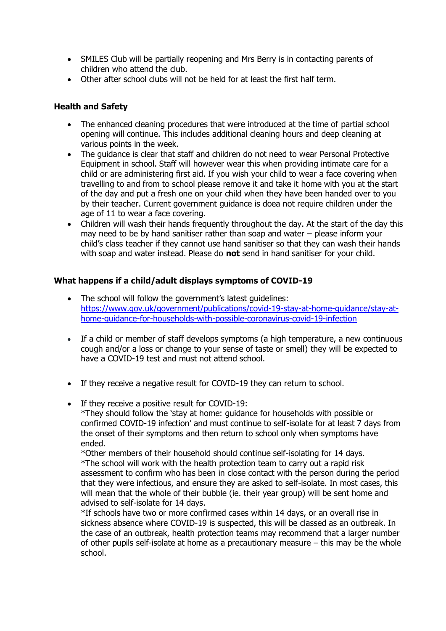- SMILES Club will be partially reopening and Mrs Berry is in contacting parents of children who attend the club.
- Other after school clubs will not be held for at least the first half term.

### **Health and Safety**

- The enhanced cleaning procedures that were introduced at the time of partial school opening will continue. This includes additional cleaning hours and deep cleaning at various points in the week.
- The quidance is clear that staff and children do not need to wear Personal Protective Equipment in school. Staff will however wear this when providing intimate care for a child or are administering first aid. If you wish your child to wear a face covering when travelling to and from to school please remove it and take it home with you at the start of the day and put a fresh one on your child when they have been handed over to you by their teacher. Current government guidance is doea not require children under the age of 11 to wear a face covering.
- Children will wash their hands frequently throughout the day. At the start of the day this may need to be by hand sanitiser rather than soap and water – please inform your child's class teacher if they cannot use hand sanitiser so that they can wash their hands with soap and water instead. Please do **not** send in hand sanitiser for your child.

#### **What happens if a child/adult displays symptoms of COVID-19**

- The school will follow the government's latest quidelines: [https://www.gov.uk/government/publications/covid-19-stay-at-home-guidance/stay-at](https://www.gov.uk/government/publications/covid-19-stay-at-home-guidance/stay-at-home-guidance-for-households-with-possible-coronavirus-covid-19-infection)[home-guidance-for-households-with-possible-coronavirus-covid-19-infection](https://www.gov.uk/government/publications/covid-19-stay-at-home-guidance/stay-at-home-guidance-for-households-with-possible-coronavirus-covid-19-infection)
- If a child or member of staff develops symptoms (a high temperature, a new continuous cough and/or a loss or change to your sense of taste or smell) they will be expected to have a COVID-19 test and must not attend school.
- If they receive a negative result for COVID-19 they can return to school.
- If they receive a positive result for COVID-19: \*They should follow the 'stay at home: guidance for households with possible or confirmed COVID-19 infection' and must continue to self-isolate for at least 7 days from the onset of their symptoms and then return to school only when symptoms have ended.

\*Other members of their household should continue self-isolating for 14 days. \*The school will work with the health protection team to carry out a rapid risk assessment to confirm who has been in close contact with the person during the period that they were infectious, and ensure they are asked to self-isolate. In most cases, this will mean that the whole of their bubble (ie. their year group) will be sent home and advised to self-isolate for 14 days.

\*If schools have two or more confirmed cases within 14 days, or an overall rise in sickness absence where COVID-19 is suspected, this will be classed as an outbreak. In the case of an outbreak, health protection teams may recommend that a larger number of other pupils self-isolate at home as a precautionary measure – this may be the whole school.